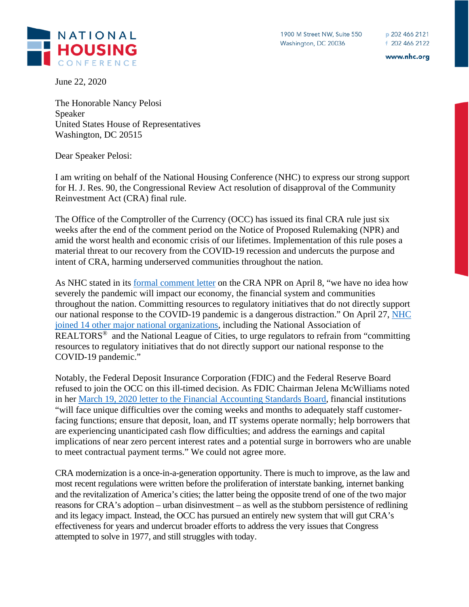www.nhc.org

**HOUSING** 

NATIONAL

June 22, 2020

The Honorable Nancy Pelosi Speaker United States House of Representatives Washington, DC 20515

Dear Speaker Pelosi:

I am writing on behalf of the National Housing Conference (NHC) to express our strong support for H. J. Res. 90, the Congressional Review Act resolution of disapproval of the Community Reinvestment Act (CRA) final rule.

The Office of the Comptroller of the Currency (OCC) has issued its final CRA rule just six weeks after the end of the comment period on the Notice of Proposed Rulemaking (NPR) and amid the worst health and economic crisis of our lifetimes. Implementation of this rule poses a material threat to our recovery from the COVID-19 recession and undercuts the purpose and intent of CRA, harming underserved communities throughout the nation.

As NHC stated in its [formal comment letter](https://www.nhc.org/wp-content/uploads/2020/04/NHC-CRA-Comment-Letter-FINAL.pdf) on the CRA NPR on April 8, "we have no idea how severely the pandemic will impact our economy, the financial system and communities throughout the nation. Committing resources to regulatory initiatives that do not directly support our national response to the COVID-19 pandemic is a dangerous distraction." On April 27, [NHC](https://www.nhc.org/wp-content/uploads/2020/04/Regulatory-Pause-Letter-FINAL.pdf)  [joined 14 other major national organizations,](https://www.nhc.org/wp-content/uploads/2020/04/Regulatory-Pause-Letter-FINAL.pdf) including the National Association of REALTORS<sup>®</sup> and the National League of Cities, to urge regulators to refrain from "committing" resources to regulatory initiatives that do not directly support our national response to the COVID-19 pandemic."

Notably, the Federal Deposit Insurance Corporation (FDIC) and the Federal Reserve Board refused to join the OCC on this ill-timed decision. As FDIC Chairman Jelena McWilliams noted in her [March 19, 2020 letter to the Financial Accounting Standards Board,](https://www.fdic.gov/news/press-releases/2020/pr20036a.pdf) financial institutions "will face unique difficulties over the coming weeks and months to adequately staff customerfacing functions; ensure that deposit, loan, and IT systems operate normally; help borrowers that are experiencing unanticipated cash flow difficulties; and address the earnings and capital implications of near zero percent interest rates and a potential surge in borrowers who are unable to meet contractual payment terms." We could not agree more.

CRA modernization is a once-in-a-generation opportunity. There is much to improve, as the law and most recent regulations were written before the proliferation of interstate banking, internet banking and the revitalization of America's cities; the latter being the opposite trend of one of the two major reasons for CRA's adoption – urban disinvestment – as well as the stubborn persistence of redlining and its legacy impact. Instead, the OCC has pursued an entirely new system that will gut CRA's effectiveness for years and undercut broader efforts to address the very issues that Congress attempted to solve in 1977, and still struggles with today.